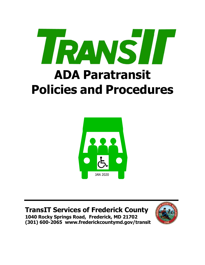



# **TransIT Services of Frederick County**

**1040 Rocky Springs Road, Frederick, MD 21702 (301) 600-2065 [www.frederickcountymd.gov/transit](http://www.frederickcountymd.gov/transit)**

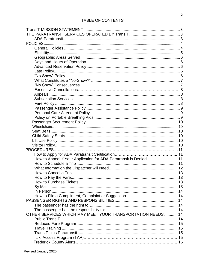| How to Appeal if Your Application for ADA Paratransit is Denied  11 |    |  |  |  |
|---------------------------------------------------------------------|----|--|--|--|
|                                                                     |    |  |  |  |
|                                                                     |    |  |  |  |
|                                                                     |    |  |  |  |
|                                                                     |    |  |  |  |
|                                                                     | 13 |  |  |  |
|                                                                     | 13 |  |  |  |
|                                                                     | 14 |  |  |  |
|                                                                     | 14 |  |  |  |
|                                                                     | 14 |  |  |  |
|                                                                     | 14 |  |  |  |
|                                                                     | 14 |  |  |  |
| OTHER SERVICES WHICH MAY MEET YOUR TRANSPORTATION NEEDS             | 14 |  |  |  |
|                                                                     | 14 |  |  |  |
|                                                                     | 15 |  |  |  |
|                                                                     | 15 |  |  |  |
|                                                                     |    |  |  |  |
|                                                                     |    |  |  |  |
|                                                                     |    |  |  |  |
|                                                                     |    |  |  |  |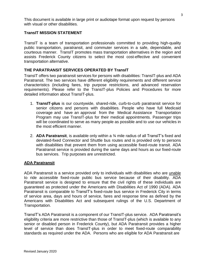This document is available in large print or audiotape format upon request by persons with visual or other disabilities.

## <span id="page-2-0"></span>**TransIT MISSION STATEMENT**

TransIT is a team of transportation professionals committed to providing high-quality public transportation, paratransit, and commuter services in a safe, dependable, and courteous manner. TransIT promotes mass transportation alternatives in the region and assists Frederick County citizens to select the most cost-effective and convenient transportation alternative.

## <span id="page-2-1"></span>**THE PARATRANSIT SERVICES OPERATED BY TransIT**

TransIT offers two paratransit services for persons with disabilities: TransIT-plus and ADA Paratransit. The two services have different eligibility requirements and different service characteristics (including fares, trip purpose restrictions, and advanced reservation requirements). Please refer to the TransIT-plus Policies and Procedures for more detailed information about TransIT-plus.

- 1. **TransIT-plus** is our countywide, shared-ride, curb-to-curb paratransit service for senior citizens and persons with disabilities. People who have full Medicaid coverage and have an approval from the Medical Assistance Transportation Program may use TransIT-plus for their medical appointments. Passenger trips will be coordinated to serve as many people as possible and to use our vehicles in the most efficient manner.
- 2. **ADA Paratransit**, is available only within a ¾ mile radius of all TransIT's fixed and deviated-fixed Connector and Shuttle bus routes and is provided only to persons with disabilities that prevent them from using accessible fixed-route transit. ADA Paratransit service is provided during the same days and hours as our fixed-route bus services. Trip purposes are unrestricted.

## <span id="page-2-2"></span>**ADA Paratransit**

ADA Paratransit is a service provided only to individuals with disabilities who are unable to ride accessible fixed-route public bus service because of their disability. ADA Paratransit service is designed to ensure that the civil rights of these individuals are guaranteed as protected under the Americans with Disabilities Act of 1990 (ADA). ADA Paratransit is comparable to TransIT's fixed-route bus service in Frederick City in terms of service area, days and hours of service, fares and response time as defined by the Americans with Disabilities Act and subsequent rulings of the U.S. Department of Transportation.

TransIT's ADA Paratransit is a component of our TransIT-plus service. ADA Paratransit's eligibility criteria are more restrictive than those of TransIT-plus (which is available to any senior or disabled person in Frederick County), but ADA Paratransit provides a higher level of service than does TransIT-plus in order to meet fixed-route comparability standards as required under the ADA. Persons who are eligible for ADA Paratransit are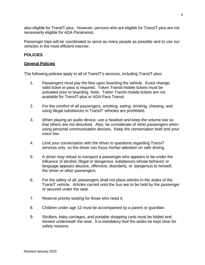also eligible for TransIT-plus. However, persons who are eligible for TransIT-plus are not necessarily eligible for ADA Paratransit.

Passenger trips will be coordinated to serve as many people as possible and to use our vehicles in the most efficient manner.

## <span id="page-3-0"></span>**POLICIES**

#### <span id="page-3-1"></span>**General Policies**

The following policies apply to all of TransIT's services, including TransIT-plus:

- 1. Passengers must pay the fare upon boarding the vehicle. Exact change, valid ticket or pass is required. Token Transit mobile tickets must be activated prior to boarding. Note: Token Transit mobile tickets are not available for TransIT-plus or ADA Para Transit.
- 2. For the comfort of all passengers, smoking, eating, drinking, chewing, and using illegal substances in TransIT vehicles are prohibited.
- 3. When playing an audio device, use a headset and keep the volume low so that others are not disturbed. Also, be considerate of other passengers when using personal communication devices. Keep the conversation brief and your voice low.
- 4. Limit your conversation with the driver to questions regarding TransIT services only, so the driver can focus his/her attention on safe driving.
- 5. A driver may refuse to transport a passenger who appears to be under the influence of alcohol, illegal or dangerous substances whose behavior or language appears abusive, offensive, disorderly, or dangerous to himself, the driver or other passengers.
- 6. For the safety of all, passengers shall not place articles in the aisles of the TransIT vehicle. Articles carried onto the bus are to be held by the passenger or secured under the seat.
- 7. Reserve priority seating for those who need it.
- 8. Children under age 12 must be accompanied by a parent or guardian.
- 9. Strollers, baby carriages, and portable shopping carts must be folded and stowed underneath the seat. It is mandatory that the aisles be kept clear for safety reasons.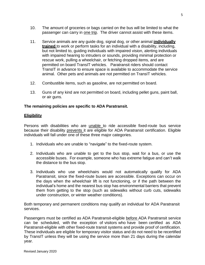- 10. The amount of groceries or bags carried on the bus will be limited to what the passenger can carry in one trip. The driver cannot assist with these items.
- 11. Service animals are any guide dog, signal dog, or other animal **individually trained** to work or perform tasks for an individual with a disability, including, but not limited to, guiding individuals with impaired vision, alerting individuals with impaired hearing to intruders or sounds, providing minimal protection or rescue work, pulling a wheelchair, or fetching dropped items, and are permitted on board TransIT vehicles. Paratransit riders should contact TransIT in advance to ensure space is available to accommodate the service animal. Other pets and animals are not permitted on TransIT vehicles.
- 12. Combustible items, such as gasoline, are not permitted on board.
- 13. Guns of any kind are not permitted on board, including pellet guns, paint ball, or air guns.

#### **The remaining policies are specific to ADA Paratransit.**

#### <span id="page-4-0"></span>**Eligibility**

Persons with disabilities who are unable to ride accessible fixed-route bus service because their disability prevents it are eligible for ADA Paratransit certification. Eligible individuals will fall under one of these three major categories.

- 1. Individuals who are unable to "navigate" to the fixed-route system.
- 2. Individuals who are unable to get to the bus stop, wait for a bus, or use the accessible buses. For example, someone who has extreme fatigue and can't walk the distance to the bus stop.
- 3. Individuals who use wheelchairs would not automatically qualify for ADA Paratransit, since the fixed-route buses are accessible. Exceptions can occur on the days when the wheelchair lift is not functioning, or if the path between the individual's home and the nearest bus stop has environmental barriers that prevent them from getting to the stop (such as sidewalks without curb cuts, sidewalks under construction, or winter weather conditions).

Both temporary and permanent conditions may qualify an individual for ADA Paratransit services.

Passengers must be certified as ADA Paratransit-eligible before ADA Paratransit service can be scheduled, with the exception of visitors who have been certified as ADA Paratransit-eligible with other fixed-route transit systems and provide proof of certification. These individuals are eligible for temporary visitor status and do not need to be recertified by TransIT unless they will be using the service more than 21 days during the calendar year.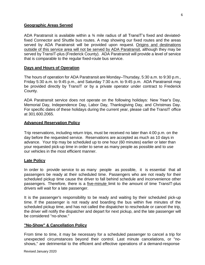#### <span id="page-5-0"></span>**Geographic Areas Served**

ADA Paratransit is available within a  $\frac{3}{4}$  mile radius of all TransIT's fixed and deviatedfixed Connector and Shuttle bus routes. A map showing our fixed routes and the areas served by ADA Paratransit will be provided upon request. Origins and destinations outside of this service area will not be served by ADA Paratransit, although they may be served by TransIT-plus (Frederick County). ADA Paratransit will provide a level of service that is comparable to the regular fixed-route bus service.

#### <span id="page-5-1"></span>**Days and Hours of Operation**

The hours of operation for ADA Paratransit are Monday–Thursday, 5:30 a.m. to 9:30 p.m., Friday 5:30 a.m. to 9:45 p.m., and Saturday 7:30 a.m. to 9:45 p.m. ADA Paratransit may be provided directly by TransIT or by a private operator under contract to Frederick County.

ADA Paratransit service does not operate on the following holidays: New Year's Day, Memorial Day, Independence Day, Labor Day, Thanksgiving Day, and Christmas Day. For specific dates of these holidays during the current year, please call the TransIT office at 301.600.2065.

#### <span id="page-5-2"></span>**Advanced Reservation Policy**

Trip reservations, including return trips, must be received no later than 4:00 p.m. on the day before the requested service. Reservations are accepted as much as 10 days in advance. Your trip may be scheduled up to one hour (60 minutes) earlier or later than your requested pick-up time in order to serve as many people as possible and to use our vehicles in the most efficient manner.

#### <span id="page-5-3"></span>**Late Policy**

In order to provide service to as many people as possible, it is essential that all passengers be ready at their scheduled time. Passengers who are not ready for their scheduled pickup time cause the driver to fall behind schedule and inconvenience other passengers. Therefore, there is a five-minute limit to the amount of time TransIT-plus drivers will wait for a late passenger.

It is the passenger's responsibility to be ready and waiting by their scheduled pick-up time. If the passenger is not ready and boarding the bus within five minutes of the scheduled pickup time, and has not called the dispatcher to reschedule or cancel the trip, the driver will notify the dispatcher and depart for next pickup, and the late passenger will be considered "no-show."

#### **"No-Show" & Cancellation Policy**

From time to time, it may be necessary for a scheduled passenger to cancel a trip for unexpected circumstances beyond their control. Last minute cancelations, or "noshows," are detrimental to the efficient and effective operations of a demand-response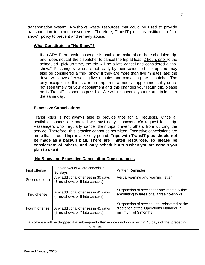transportation system. No-shows waste resources that could be used to provide transportation to other passengers. Therefore, TransIT-plus has instituted a "noshow" policy to prevent and remedy abuse.

#### <span id="page-6-0"></span>**What Constitutes a "No-Show"?**

If an ADA Paratransit passenger is unable to make his or her scheduled trip, and does not call the dispatcher to cancel the trip at least 2 hours prior to the scheduled pick-up time, the trip will be a late cancel and considered a "noshow." Passengers who are not ready by their scheduled pick-up time may also be considered a "no- show" if they are more than five minutes late; the driver will leave after waiting five minutes and contacting the dispatcher. The only exception to this is a return trip from a medical appointment; if you are not seen timely for your appointment and this changes your return trip, please notify TransIT as soon as possible. We will reschedule your return trip for later the same day.

#### **Excessive Cancellations**

TransIT-plus is not always able to provide trips for all requests. Once all available spaces are booked we must deny a passenger's request for a trip. Passengers who regularly cancel their trips prevent others from utilizing the service. Therefore, this practice cannot be permitted. Excessive cancelations are more than 2 round trips in a 30 day period. **Trips with TransIT-plus should not be made as a backup plan. There are limited resources, so please be considerate of others, and only schedule a trip when you are certain you plan to use it.**

| <b>No-Show and Excesdive Cancelation Consequences</b> |
|-------------------------------------------------------|
|-------------------------------------------------------|

| First offense                                                                                                 | 2 no-shows or 4 late cancels in<br>30 days                           | <b>Written Reminder</b>                                                                                         |  |  |
|---------------------------------------------------------------------------------------------------------------|----------------------------------------------------------------------|-----------------------------------------------------------------------------------------------------------------|--|--|
| Second offense                                                                                                | Any additional offenses in 30 days<br>(3 no-shows or 5 late cancels) | Verbal warning and warning letter                                                                               |  |  |
| Third offense                                                                                                 | Any additional offenses in 45 days<br>(4 no-shows or 6 late cancels) | Suspension of service for one month & fine<br>amounting to fares of all three no-shows                          |  |  |
| Fourth offense                                                                                                | Any additional offenses in 45 days<br>(5 no-shows or 7 late cancels) | Suspension of service until reinstated at the<br>discretion of the Operations Manager, a<br>minimum of 3 months |  |  |
| An offense will be dropped if a subsequent offense does not occur within 45 days of the preceding<br>offense. |                                                                      |                                                                                                                 |  |  |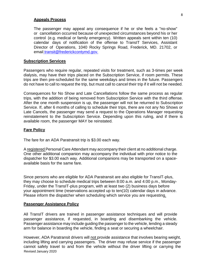#### **Appeals Process**

The passenger may appeal any consequence if he or she feels a "no-show" or cancellation occurred because of unexpected circumstances beyond his or her control (e.g. medical or family emergency). Written appeals sent within ten (10) calendar days of notification of the offense to TransIT Services, Assistant Director of Operations, 1040 Rocky Springs Road, Frederick, MD. 21702, or emai[l](mailto:) [transit@frederickcontymd.gov.](mailto:)

#### **Subscription Services**

Passengers who require regular, repeated visits for treatment, such as 3-times per week dialysis, may have their trips placed on the Subscription Service, if room permits. These trips are then pre-scheduled for the same weekdays and times in the future. Passengers do not have to call to request the trip, but must call to cancel their trip if it will not be needed.

Consequences for No Show and Late Cancellations follow the same process as regular trips, with the addition of being removed from Subscription Service with the third offense. After the one month suspension is up, the passenger will not be returned to Subscription Service. If, after 6 months of calling to schedule their trips, there are not any No Shows or Late Cancels, the passenger may send a request to the Operations Manager requesting reinstatement to the Subscription Service. Depending upon this ruling, and if there is available room, the passenger MAY be reinstated.

#### <span id="page-7-0"></span>**Fare Policy**

The fare for an ADA Paratransit trip is \$3.00 each way.

A registered Personal Care Attendant may accompany their client at no additional charge. One other additional companion may accompany the individual with prior notice to the dispatcher for \$3.00 each way. Additional companions may be transported on a spaceavailable basis for the same fare.

Since persons who are eligible for ADA Paratransit are also eligible for TransIT-plus, they may choose to schedule medical trips between 8:00 a.m. and 4:00 p.m., Monday-Friday, under the TransIT-plus program, with at least two (2) business days before your appointment time (reservations accepted up to ten(10) calendar days in advance. Please inform the dispatcher when scheduling which service you are requesting.

#### <span id="page-7-1"></span>**Passenger Assistance Policy**

All TransIT drivers are trained in passenger assistance techniques and will provide passenger assistance, if requested, in boarding and disembarking the vehicle. Passenger assistance may include guiding the passenger to the vehicle, lending a steady arm for balance in boarding the vehicle, finding a seat or securing a wheelchair.

Revised January 2020 However, ADA Paratransit drivers will not provide assistance that involves bearing weight, including lifting and carrying passengers. The driver may refuse service if the passenger cannot safely travel to and from the vehicle without the driver lifting or carrying the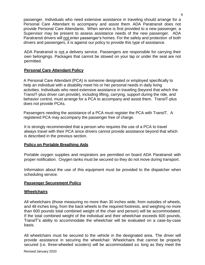passenger. Individuals who need extensive assistance in traveling should arrange for a Personal Care Attendant to accompany and assist them. ADA Paratransit does not provide Personal Care Attendants. When service is first provided to a new passenger, a Supervisor may be present to assess assistance needs of the new passenger. ADA Paratransit drivers will not enter passenger's homes. For the safety and protection of both drivers and passengers, it is against our policy to provide this type of assistance.

ADA Paratransit is not a delivery service. Passengers are responsible for carrying their own belongings. Packages that cannot be stowed on your lap or under the seat are not permitted.

## <span id="page-8-0"></span>**Personal Care Attendant Policy**

A Personal Care Attendant (PCA) is someone designated or employed specifically to help an individual with a disability meet his or her personal needs in daily living activities. Individuals who need extensive assistance in traveling (beyond that which the TransIT-plus driver can provide), including lifting, carrying, support during the ride, and behavior control, must arrange for a PCA to accompany and assist them. TransIT-plus does not provide PCAs.

Passengers needing the assistance of a PCA must register the PCA with TransIT. A registered PCA may accompany the passenger free of charge.

It is strongly recommended that a person who requires the use of a PCA to travel always travel with their PCA since drivers cannot provide assistance beyond that which is described in the previous section.

## <span id="page-8-1"></span>**Policy on Portable Breathing Aids**

Portable oxygen supplies and respirators are permitted on board ADA Paratransit with proper notification. Oxygen tanks must be secured so they do not move during transport.

Information about the use of this equipment must be provided to the dispatcher when scheduling service.

## <span id="page-8-2"></span>**Passenger Securement Policy**

## <span id="page-8-3"></span>**Wheelchairs**

All wheelchairs (those measuring no more than 30 inches wide, from outsides of wheels, and 48 inches long, from the back wheels to the required footrests, and weighing no more than 600 pounds total combined weight of the chair and person) will be accommodated. If the total combined weight of the individual and their wheelchair exceeds 600 pounds, TransIT's ability to accommodate the wheelchair will be evaluated on a case-by-case basis.

All wheelchairs must be secured to the vehicle in the designated area. The driver will provide assistance in securing the wheelchair. Wheelchairs that cannot be properly secured (i.e. three-wheeled scooters) will be accommodated as long as they meet the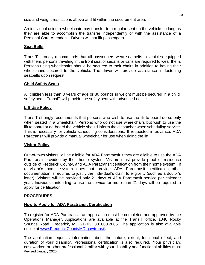size and weight restrictions above and fit within the securement area.

An individual using a wheelchair may transfer to a regular seat on the vehicle so long as they are able to accomplish the transfer independently or with the assistance of a Personal Care Attendant. Drivers will not lift passengers.

## **Seat Belts**

TransIT strongly recommends that all passengers wear seatbelts in vehicles equipped with them; persons traveling in the front seat of sedans or vans are required to wear them. Persons using wheelchairs should be secured to their chairs in addition to having their wheelchairs secured to the vehicle. The driver will provide assistance in fastening seatbelts upon request.

#### <span id="page-9-0"></span>**Child Safety Seats**

All children less than 8 years of age or 80 pounds in weight must be secured in a child safety seat. TransIT will provide the safety seat with advanced notice.

#### <span id="page-9-1"></span>**Lift Use Policy**

TransIT strongly recommends that persons who wish to use the lift to board do so only when seated in a wheelchair. Persons who do not use wheelchairs but wish to use the lift to board or de-board the vehicle should inform the dispatcher when scheduling service. This is necessary for vehicle scheduling considerations. If requested in advance, ADA Paratransit will provide a manual wheelchair for use when riding the lift.

## <span id="page-9-2"></span>**Visitor Policy**

Out-of-town visitors will be eligible for ADA Paratransit if they are eligible to use the ADA Paratransit provided by their home system. Visitors must provide proof of residence outside of Frederick County, and ADA Paratransit certification from their home system. If a visitor's home system does not provide ADA Paratransit certification, other documentation is required to justify the individual's claim to eligibility (such as a doctor's letter). Visitors will be provided only 21 days of ADA Paratransit service per calendar year. Individuals intending to use the service for more than 21 days will be required to apply for certification.

#### <span id="page-9-3"></span>**PROCEDURES**

#### <span id="page-9-4"></span>**How to Apply for ADA Paratransit Certification**

To register for ADA Paratransit, an application must be completed and approved by the Operations Manager. Applications are available at the TransIT office, 1040 Rocky Springs Road, Frederick, MD 21702, 301600.2065. The application is also available online at [www.FrederickCountyMD.gov/transit.](http://www.frederickcountymd.gov/transit)

Revised January 2020 The application requests information about the nature, extent, functional effect, and duration of your disability. Professional certification is also required. Your physician, caseworker, or other professional familiar with your disability and functional abilities must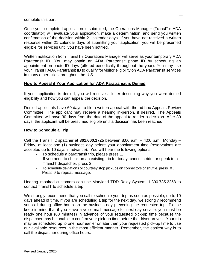complete this part.

Once your completed application is submitted, the Operations Manager (TransIT's ADA coordinator) will evaluate your application, make a determination, and send you written confirmation of the decision within 21 calendar days. If you have not received a written response within 21 calendar days of submitting your application, you will be presumed eligible for services until you have been notified.

Written notification from TransIT's Operations Manager will serve as your temporary ADA Paratransit ID. You may obtain an ADA Paratransit photo ID by scheduling an appointment on photo ID days (offered periodically throughout the year). You may use your TransIT ADA Paratransit ID to qualify for visitor eligibility on ADA Paratransit services in many other cities throughout the U.S.

## <span id="page-10-0"></span>**How to Appeal if Your Application for ADA Paratransit is Denied**

If your application is denied, you will receive a letter describing why you were denied eligibility and how you can appeal the decision.

Denied applicants have 60 days to file a written appeal with the ad hoc Appeals Review Committee. The applicant may receive a hearing in-person, if desired. The Appeals Committee will have 30 days from the date of the appeal to render a decision. After 30 days, the applicant will be presumed eligible until a decision has been reached.

#### <span id="page-10-1"></span>**How to Schedule a Trip**

Call the TransIT Dispatcher at **301.600.1725** between 8:00 a.m. – 4:00 p.m., Monday – Friday, at least one (1) business day before your appointment time (reservations are accepted up to 10 days in advance). You will hear the following options:

- To schedule a paratransit trip, please press 1.
- If you need to check on an existing trip for today, cancel a ride, or speak to a TransIT dispatcher, press 2.
- To schedule deviations or courtesy stop pickups on connectors or shuttle, press 0 .
- Press 9 to repeat message.

Hearing-impaired customers can use Maryland TDD Relay System, 1.800.735.2258 to contact TransIT to schedule a trip.

<span id="page-10-2"></span>We strongly recommend that you call to schedule your trip as soon as possible, up to 10 days ahead of time. If you are scheduling a trip for the next day, we strongly recommend you call during office hours on the business day preceding the requested trip. Please keep in mind that if you leave a voice-mail message for next-day service, you must be ready one hour (60 minutes) in advance of your requested pick-up time because the dispatcher may be unable to confirm your pick-up time before the driver arrives. Your trip may be scheduled up to one hour earlier or later than your requested pick-up time to use our available resources in the most efficient manner. Remember, the easiest way is to call the dispatcher during office hours.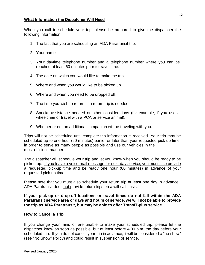#### **What Information the Dispatcher Will Need**

When you call to schedule your trip, please be prepared to give the dispatcher the following information.

- 1. The fact that you are scheduling an ADA Paratransit trip.
- 2. Your name.
- 3. Your daytime telephone number and a telephone number where you can be reached at least 60 minutes prior to travel time.
- 4. The date on which you would like to make the trip.
- 5. Where and when you would like to be picked up.
- 6. Where and when you need to be dropped off.
- 7. The time you wish to return, if a return trip is needed.
- 8. Special assistance needed or other considerations (for example, if you use a wheelchair or travel with a PCA or service animal).
- 9. Whether or not an additional companion will be traveling with you.

Trips will not be scheduled until complete trip information is received. Your trip may be scheduled up to one hour (60 minutes) earlier or later than your requested pick-up time in order to serve as many people as possible and use our vehicles in the most efficient manner.

The dispatcher will schedule your trip and let you know when you should be ready to be picked up. If you leave a voice-mail message for next-day service, you must also provide a requested pick-up time and be ready one hour (60 minutes) in advance of your requested pick-up time.

Please note that you must also schedule your return trip at least one day in advance. ADA Paratransit does not provide return trips on a will-call basis.

**If your pick-up or drop-off locations or travel times do not fall within the ADA Paratransit service area or days and hours of service, we will not be able to provide the trip as ADA Paratransit, but may be able to offer TransIT-plus service.**

#### <span id="page-11-0"></span>**How to Cancel a Trip**

If you change your mind or are unable to make your scheduled trip, please let the dispatcher know as soon as possible, but at least before 4:00 p.m. the day before your scheduled trip. If you do not cancel your trip in advance, it will be considered a "no-show" (see "No Show" Policy) and could result in suspension of service.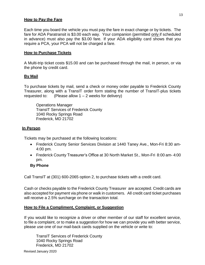#### <span id="page-12-0"></span>**How to Pay the Fare**

Each time you board the vehicle you must pay the fare in exact change or by tickets. The fare for ADA Paratransit is \$3.00 each way. Your companion (permitted only if scheduled in advance) must also pay the \$3.00 fare. If your ADA eligibility card shows that you require a PCA, your PCA will not be charged a fare.

#### <span id="page-12-1"></span>**How to Purchase Tickets**

A Multi-trip ticket costs \$15.00 and can be purchased through the mail, in person, or via the phone by credit card.

## <span id="page-12-2"></span>**By Mail**

To purchase tickets by mail, send a check or money order payable to Frederick County Treasurer, along with a TransIT order form stating the number of TransIT-plus tickets requested to: (Please allow  $1 - 2$  weeks for delivery)

Operations Manager TransIT Services of Frederick County 1040 Rocky Springs Road Frederick, MD 21702

## <span id="page-12-3"></span>**In Person**

Tickets may be purchased at the following locations:

- Frederick County Senior Services Division at 1440 Taney Ave., Mon-Fri 8:30 am-4:00 pm.
- Frederick County Treasurer's Office at 30 North Market St., Mon-Fri 8:00 am- 4:00 pm.

## **By Phone**

Call TransIT at (301) 600-2065 option 2, to purchase tickets with a credit card.

Cash or checks payable to the Frederick County Treasurer are accepted. Credit cards are also accepted for payment via phone or walk in customers. All credit card ticket purchases will receive a 2.5% surcharge on the transaction total.

## <span id="page-12-4"></span>**How to File a Compliment, Complaint, or Suggestion**

If you would like to recognize a driver or other member of our staff for excellent service, to file a complaint, or to make a suggestion for how we can provide you with better service, please use one of our mail-back cards supplied on the vehicle or write to:

TransIT Services of Frederick County 1040 Rocky Springs Road Frederick, MD 21702

Revised January 2020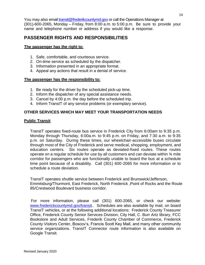You may also email [transit@frederikcountymd.gov](mailto:transit@frederikcountymd.gov) or call the Operations Manager at (301)-600-2065, Monday – Friday, from 8:00 a.m. to 5:00 p.m. Be sure to provide your name and telephone number or address if you would like a response.

## <span id="page-13-0"></span>**PASSENGER RIGHTS AND RESPONSIBILITIES**

## <span id="page-13-1"></span>**The passenger has the right to:**

- 1. Safe, comfortable, and courteous service.
- 2. On-time service as scheduled by the dispatcher.
- 3. Information presented in an appropriate format.
- 4. Appeal any actions that result in a denial of service.

## <span id="page-13-2"></span>**The passenger has the responsibility to:**

- 1. Be ready for the driver by the scheduled pick-up time.
- 2. Inform the dispatcher of any special assistance needs.
- 3. Cancel by 4:00 p.m. the day before the scheduled trip.
- <span id="page-13-4"></span><span id="page-13-3"></span>4. Inform TransIT of any service problems (or exemplary service).

## **OTHER SERVICES WHICH MAY MEET YOUR TRANSPORTATION NEEDS**

## **Public Transit**

TransIT operates fixed-route bus service in Frederick City from 6:00am to 9:35 p.m. Monday through Thursday, 6:00a.m. to 9:45 p.m. on Friday, and 7:30 a.m. to 9:35 p.m. on Saturday. During these times, our wheelchair-accessible buses circulate through most of the City of Frederick and serve medical, shopping, employment, and education centers. Six routes operate as deviated-fixed routes. These routes operate on a regular schedule for use by all customers and can deviate within  $\frac{3}{4}$  mile corridor for passengers who are functionally unable to board the bus at a schedule time point because of a disability. Call (301) 600-2065 for more information or to schedule a route deviation.

TransIT operates shuttle service between Frederick and Brunswick/Jefferson, Emmitsburg/Thurmont, East Frederick, North Frederick ,Point of Rocks and the Route 85/Crestwood Boulevard business corridor.

For more information, please call (301) 600-2065, or check our website: [www.frederickcountymd.gov/transit.](http://www.frederickcountymd.gov/transit). Schedules are also available by mail, on board TransIT vehicles, or at the following additional locations: Frederick County Treasurer Office, Frederick County Senior Services Division, City Hall, C. Burr Artz library, FCC Bookstore and Adult Services, Frederik County Chamber of Commerce, Frederick County Visitors Center, Boscov's, Francis Scott Key Mall, and many other community service organizations. TransIT Connector route information is also available on Google Transit.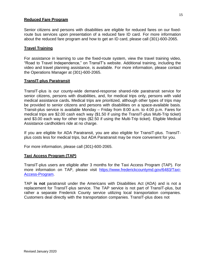## <span id="page-14-0"></span>**Reduced Fare Program**

Senior citizens and persons with disabilities are eligible for reduced fares on our fixedroute bus services upon presentation of a reduced fare ID card. For more information about the reduced fare program and how to get an ID card, please call (301)-600-2065.

#### <span id="page-14-1"></span>**Travel Training**

For assistance in learning to use the fixed-route system, view the travel training video, "Road to Travel Independence," on TransIT's website. Additional training, including the video and travel planning assistance, is available. For more information, please contact the Operations Manager at (301)-600-2065.

#### <span id="page-14-2"></span>**TransIT-plus Paratransit**

TransIT-plus is our county-wide demand-response shared-ride paratransit service for senior citizens, persons with disabilities, and, for medical trips only, persons with valid medical assistance cards**.** Medical trips are prioritized, although other types of trips may be provided to senior citizens and persons with disabilities on a space-available basis. Transit-plus service is available Monday – Friday from 8:00 a.m. to 4:00 p.m. Fares for medical trips are \$2.00 cash each way (\$1.50 if using the TransIT-plus Multi-Trip ticket) and \$3.00 each way for other trips (\$2.50 if using the Multi-Trip ticket). Eligible Medical Assistance cardholders ride at no charge.

If you are eligible for ADA Paratransit, you are also eligible for TransIT-plus. TransITplus costs less for medical trips, but ADA Paratransit may be more convenient for you.

For more information, please call (301)-600-2065.

#### **Taxi Access Program (TAP)**

TransIT-plus users are eligible after 3 months for the Taxi Access Program (TAP). For more information on TAP, please visit [https://www.frederickcountymd.gov/6483/Taxi-](https://www.frederickcountymd.gov/6483/Taxi-Access-Program)[Access-Program.](https://www.frederickcountymd.gov/6483/Taxi-Access-Program)

TAP **is not** paratransit under the Americans with Disabilities Act (ADA) and is not a replacement for TransIT-plus service. The TAP service is not part of TransIT-plus, but rather a separate Frederick County service utilizing local transportation companies. Customers deal directly with the transportation companies. TransIT-plus does not